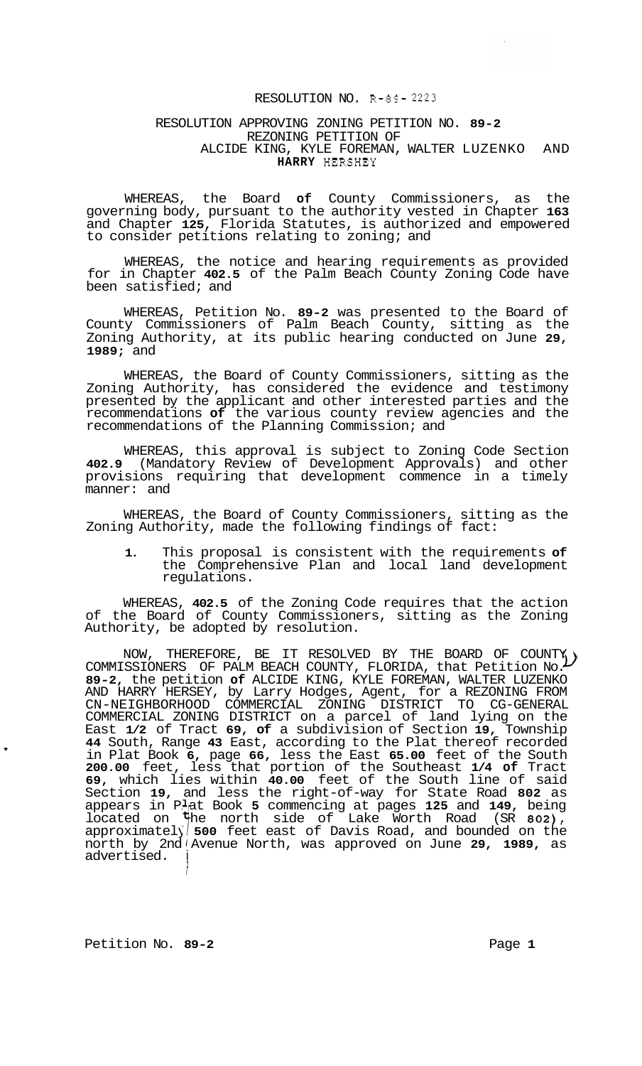## RESOLUTION NO. **R-89- 2223**

## RESOLUTION APPROVING ZONING PETITION NO. **89-2**  REZONING PETITION OF **HARRY** HERSHEY ALCIDE KING, KYLE FOREMAN, WALTER LUZENKO AND

WHEREAS, the Board **of** County Commissioners, as the governing body, pursuant to the authority vested in Chapter **163**  and Chapter **125,** Florida Statutes, is authorized and empowered to consider petitions relating to zoning; and

WHEREAS, the notice and hearing requirements as provided for in Chapter **402.5** of the Palm Beach County Zoning Code have been satisfied; and

WHEREAS, Petition No. **89-2** was presented to the Board of County Commissioners of Palm Beach County, sitting as the Zoning Authority, at its public hearing conducted on June **29, 1989;** and

WHEREAS, the Board of County Commissioners, sitting as the Zoning Authority, has considered the evidence and testimony presented by the applicant and other interested parties and the recommendations **of** the various county review agencies and the recommendations of the Planning Commission; and

WHEREAS, this approval is subject to Zoning Code Section **402.9** (Mandatory Review of Development Approvals) and other provisions requiring that development commence in a timely manner: and

WHEREAS, the Board of County Commissioners, sitting as the Zoning Authority, made the following findings of fact:

**1.** This proposal is consistent with the requirements **of**  the Comprehensive Plan and local land development regulations.

WHEREAS, **402.5** of the Zoning Code requires that the action of the Board of County Commissioners, sitting as the Zoning Authority, be adopted by resolution.

NOW, THEREFORE, BE IT RESOLVED BY THE BOARD OF COUNTY NOW, THEREFORE, BE IT RESOLVED BY THE BOARD OF COUNTY,<br>COMMISSIONERS OF PALM BEACH COUNTY, FLORIDA, that Petition No. **89-2,** the petition **of** ALCIDE KING, KYLE FOREMAN, WALTER LUZENKO AND HARRY HERSEY, by Larry Hodges, Agent, for a REZONING FROM COMMERCIAL ZONING DISTRICT on a parcel of land lying on the East **1/2** of Tract **69, of** a subdivision of Section **19,** Township **44** South, Range **43** East, according to the Plat thereof recorded in Plat Book **6,** page **66,** less the East **65.00** feet of the South **200.00** feet, less that portion of the Southeast **1/4 of** Tract **69,** which lies within **40.00** feet of the South line of said Section **19,** and less the right-of-way for State Road **802** as appears in Plat Book **5** commencing at pages **125** and **149,** being located on **the north side of Lake Worth Road (SR 802),** approximately **500** feet east of Davis Road, and bounded on the north by 2nd 1 Avenue North, was approved on June **29, 1989,** as advertised. i CN-NEIGHBORHOOD COMMERCIAL ZONING DISTRICT TO CG-GENERAL

Petition No. 89-2 **Page 1 Page 1** 

*I* 

,